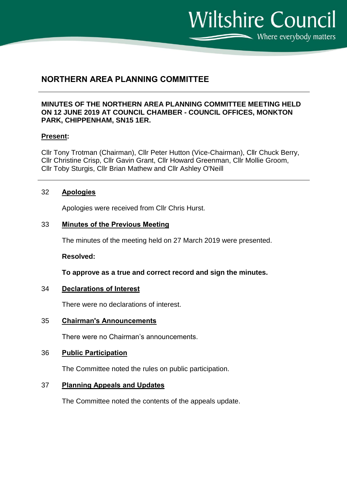Where everybody matters

**Wiltshire Council** 

# **NORTHERN AREA PLANNING COMMITTEE**

# **MINUTES OF THE NORTHERN AREA PLANNING COMMITTEE MEETING HELD ON 12 JUNE 2019 AT COUNCIL CHAMBER - COUNCIL OFFICES, MONKTON PARK, CHIPPENHAM, SN15 1ER.**

# **Present:**

Cllr Tony Trotman (Chairman), Cllr Peter Hutton (Vice-Chairman), Cllr Chuck Berry, Cllr Christine Crisp, Cllr Gavin Grant, Cllr Howard Greenman, Cllr Mollie Groom, Cllr Toby Sturgis, Cllr Brian Mathew and Cllr Ashley O'Neill

# 32 **Apologies**

Apologies were received from Cllr Chris Hurst.

# 33 **Minutes of the Previous Meeting**

The minutes of the meeting held on 27 March 2019 were presented.

#### **Resolved:**

**To approve as a true and correct record and sign the minutes.**

#### 34 **Declarations of Interest**

There were no declarations of interest.

35 **Chairman's Announcements**

There were no Chairman's announcements.

# 36 **Public Participation**

The Committee noted the rules on public participation.

#### 37 **Planning Appeals and Updates**

The Committee noted the contents of the appeals update.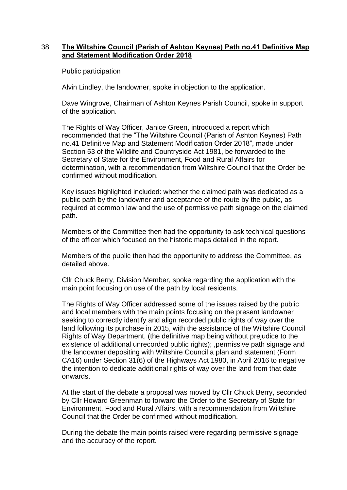# 38 **The Wiltshire Council (Parish of Ashton Keynes) Path no.41 Definitive Map and Statement Modification Order 2018**

Public participation

Alvin Lindley, the landowner, spoke in objection to the application.

Dave Wingrove, Chairman of Ashton Keynes Parish Council, spoke in support of the application.

The Rights of Way Officer, Janice Green, introduced a report which recommended that the "The Wiltshire Council (Parish of Ashton Keynes) Path no.41 Definitive Map and Statement Modification Order 2018", made under Section 53 of the Wildlife and Countryside Act 1981, be forwarded to the Secretary of State for the Environment, Food and Rural Affairs for determination, with a recommendation from Wiltshire Council that the Order be confirmed without modification.

Key issues highlighted included: whether the claimed path was dedicated as a public path by the landowner and acceptance of the route by the public, as required at common law and the use of permissive path signage on the claimed path.

Members of the Committee then had the opportunity to ask technical questions of the officer which focused on the historic maps detailed in the report.

Members of the public then had the opportunity to address the Committee, as detailed above.

Cllr Chuck Berry, Division Member, spoke regarding the application with the main point focusing on use of the path by local residents.

The Rights of Way Officer addressed some of the issues raised by the public and local members with the main points focusing on the present landowner seeking to correctly identify and align recorded public rights of way over the land following its purchase in 2015, with the assistance of the Wiltshire Council Rights of Way Department, (the definitive map being without prejudice to the existence of additional unrecorded public rights); ,permissive path signage and the landowner depositing with Wiltshire Council a plan and statement (Form CA16) under Section 31(6) of the Highways Act 1980, in April 2016 to negative the intention to dedicate additional rights of way over the land from that date onwards.

At the start of the debate a proposal was moved by Cllr Chuck Berry, seconded by Cllr Howard Greenman to forward the Order to the Secretary of State for Environment, Food and Rural Affairs, with a recommendation from Wiltshire Council that the Order be confirmed without modification.

During the debate the main points raised were regarding permissive signage and the accuracy of the report.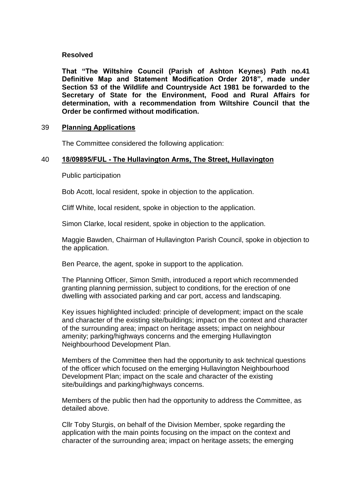# **Resolved**

**That "The Wiltshire Council (Parish of Ashton Keynes) Path no.41 Definitive Map and Statement Modification Order 2018", made under Section 53 of the Wildlife and Countryside Act 1981 be forwarded to the Secretary of State for the Environment, Food and Rural Affairs for determination, with a recommendation from Wiltshire Council that the Order be confirmed without modification.**

# 39 **Planning Applications**

The Committee considered the following application:

# 40 **18/09895/FUL - The Hullavington Arms, The Street, Hullavington**

Public participation

Bob Acott, local resident, spoke in objection to the application.

Cliff White, local resident, spoke in objection to the application.

Simon Clarke, local resident, spoke in objection to the application.

Maggie Bawden, Chairman of Hullavington Parish Council, spoke in objection to the application.

Ben Pearce, the agent, spoke in support to the application.

The Planning Officer, Simon Smith, introduced a report which recommended granting planning permission, subject to conditions, for the erection of one dwelling with associated parking and car port, access and landscaping.

Key issues highlighted included: principle of development; impact on the scale and character of the existing site/buildings; impact on the context and character of the surrounding area; impact on heritage assets; impact on neighbour amenity; parking/highways concerns and the emerging Hullavington Neighbourhood Development Plan.

Members of the Committee then had the opportunity to ask technical questions of the officer which focused on the emerging Hullavington Neighbourhood Development Plan; impact on the scale and character of the existing site/buildings and parking/highways concerns.

Members of the public then had the opportunity to address the Committee, as detailed above.

Cllr Toby Sturgis, on behalf of the Division Member, spoke regarding the application with the main points focusing on the impact on the context and character of the surrounding area; impact on heritage assets; the emerging